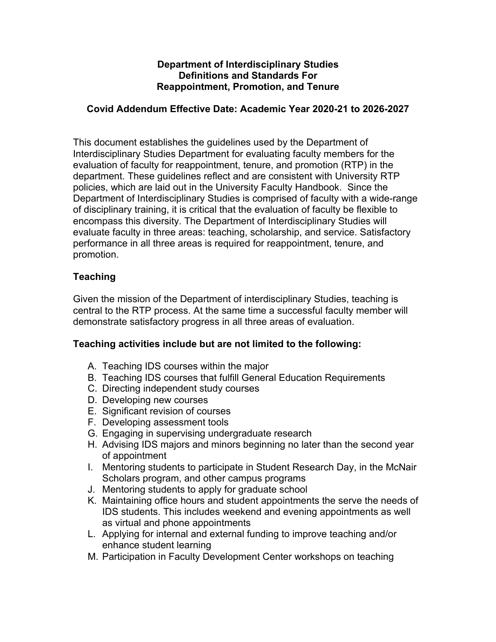### **Department of Interdisciplinary Studies Definitions and Standards For Reappointment, Promotion, and Tenure**

### **Covid Addendum Effective Date: Academic Year 2020-21 to 2026-2027**

 This document establishes the guidelines used by the Department of evaluation of faculty for reappointment, tenure, and promotion (RTP) in the department. These guidelines reflect and are consistent with University RTP policies, which are laid out in the University Faculty Handbook. Since the Department of Interdisciplinary Studies is comprised of faculty with a wide-range of disciplinary training, it is critical that the evaluation of faculty be flexible to encompass this diversity. The Department of Interdisciplinary Studies will evaluate faculty in three areas: teaching, scholarship, and service. Satisfactory performance in all three areas is required for reappointment, tenure, and promotion. Interdisciplinary Studies Department for evaluating faculty members for the

# **Teaching**

 Given the mission of the Department of interdisciplinary Studies, teaching is central to the RTP process. At the same time a successful faculty member will demonstrate satisfactory progress in all three areas of evaluation.

# **Teaching activities include but are not limited to the following:**

- A. Teaching IDS courses within the major
- B. Teaching IDS courses that fulfill General Education Requirements
- C. Directing independent study courses
- D. Developing new courses
- E. Significant revision of courses
- F. Developing assessment tools
- G. Engaging in supervising undergraduate research
- H. Advising IDS majors and minors beginning no later than the second year of appointment
- of appointment<br>I. Mentoring students to participate in Student Research Day, in the McNair Scholars program, and other campus programs
- J. Mentoring students to apply for graduate school
- K. Maintaining office hours and student appointments the serve the needs of IDS students. This includes weekend and evening appointments as well as virtual and phone appointments
- L. Applying for internal and external funding to improve teaching and/or enhance student learning
- M. Participation in Faculty Development Center workshops on teaching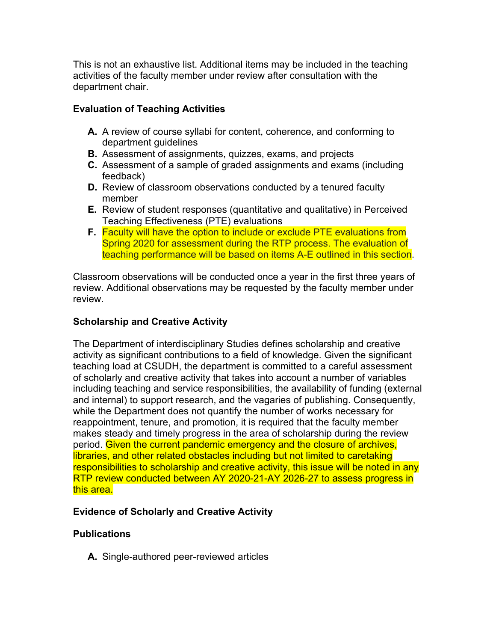This is not an exhaustive list. Additional items may be included in the teaching activities of the faculty member under review after consultation with the department chair.

# **Evaluation of Teaching Activities**

- **A.** A review of course syllabi for content, coherence, and conforming to department guidelines
- **B.** Assessment of assignments, quizzes, exams, and projects
- **C.** Assessment of a sample of graded assignments and exams (including feedback)
- **D.** Review of classroom observations conducted by a tenured faculty member
- **E.** Review of student responses (quantitative and qualitative) in Perceived Teaching Effectiveness (PTE) evaluations
- **F.** Faculty will have the option to include or exclude PTE evaluations from Spring 2020 for assessment during the RTP process. The evaluation of teaching performance will be based on items A-E outlined in this section.

 Classroom observations will be conducted once a year in the first three years of review. Additional observations may be requested by the faculty member under review.

# **Scholarship and Creative Activity**

 The Department of interdisciplinary Studies defines scholarship and creative activity as significant contributions to a field of knowledge. Given the significant teaching load at CSUDH, the department is committed to a careful assessment of scholarly and creative activity that takes into account a number of variables including teaching and service responsibilities, the availability of funding (external and internal) to support research, and the vagaries of publishing. Consequently, while the Department does not quantify the number of works necessary for reappointment, tenure, and promotion, it is required that the faculty member makes steady and timely progress in the area of scholarship during the review period. Given the current pandemic emergency and the closure of archives, libraries, and other related obstacles including but not limited to caretaking responsibilities to scholarship and creative activity, this issue will be noted in any RTP review conducted between AY 2020-21-AY 2026-27 to assess progress in <mark>this area.</mark>

# **Evidence of Scholarly and Creative Activity**

# **Publications**

A. Single-authored peer-reviewed articles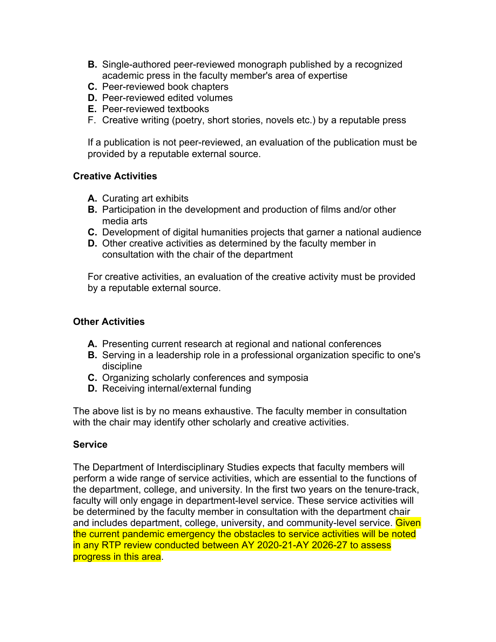- **B.** Single-authored peer-reviewed monograph published by a recognized academic press in the faculty member's area of expertise
- **C.** Peer-reviewed book chapters
- **D.** Peer-reviewed edited volumes
- **E.** Peer-reviewed textbooks
- F. Creative writing (poetry, short stories, novels etc.) by a reputable press

 If a publication is not peer-reviewed, an evaluation of the publication must be provided by a reputable external source.

### **Creative Activities**

- **A.** Curating art exhibits
- **B.** Participation in the development and production of films and/or other media arts
- **C.** Development of digital humanities projects that garner a national audience
- **D.** Other creative activities as determined by the faculty member in consultation with the chair of the department

 For creative activities, an evaluation of the creative activity must be provided by a reputable external source.

### **Other Activities**

- **A.** Presenting current research at regional and national conferences
- **B.** Serving in a leadership role in a professional organization specific to one's discipline
- **C.** Organizing scholarly conferences and symposia
- **D.** Receiving internal/external funding

**D.** Receiving internal/external funding<br>The above list is by no means exhaustive. The faculty member in consultation with the chair may identify other scholarly and creative activities.

### **Service**

 The Department of Interdisciplinary Studies expects that faculty members will perform a wide range of service activities, which are essential to the functions of the department, college, and university. In the first two years on the tenure-track, faculty will only engage in department-level service. These service activities will be determined by the faculty member in consultation with the department chair and includes department, college, university, and community-level service. **Given**  the current pandemic emergency the obstacles to service activities will be noted in any RTP review conducted between AY 2020-21-AY 2026-27 to assess progress in this area.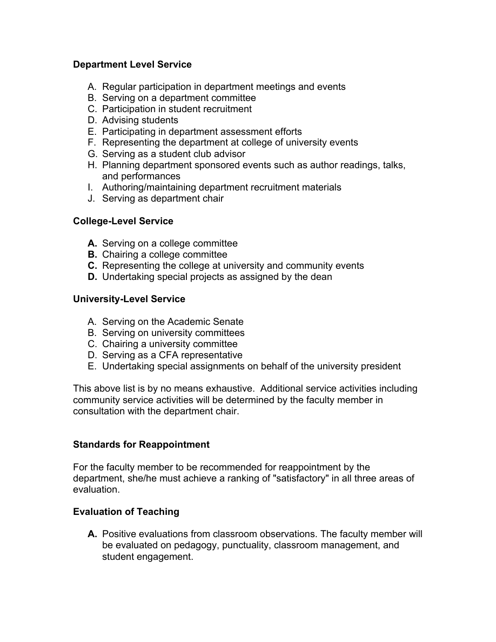### **Department Level Service**

- A. Regular participation in department meetings and events
- B. Serving on a department committee
- C. Participation in student recruitment
- D. Advising students
- E. Participating in department assessment efforts
- F. Representing the department at college of university events
- G. Serving as a student club advisor
- H. Planning department sponsored events such as author readings, talks, and performances
- I. Authoring/maintaining department recruitment materials
- J. Serving as department chair

# **College-Level Service**

- **A.** Serving on a college committee
- **B.** Chairing a college committee
- **C.** Representing the college at university and community events
- **D.** Undertaking special projects as assigned by the dean

### **University-Level Service**

- A. Serving on the Academic Senate
- B. Serving on university committees
- C. Chairing a university committee
- D. Serving as a CFA representative
- E. Undertaking special assignments on behalf of the university president

 This above list is by no means exhaustive. Additional service activities including community service activities will be determined by the faculty member in consultation with the department chair.

# **Standards for Reappointment**

 For the faculty member to be recommended for reappointment by the department, she/he must achieve a ranking of "satisfactory" in all three areas of evaluation.

# **Evaluation of Teaching**

 **A.** Positive evaluations from classroom observations. The faculty member will be evaluated on pedagogy, punctuality, classroom management, and student engagement.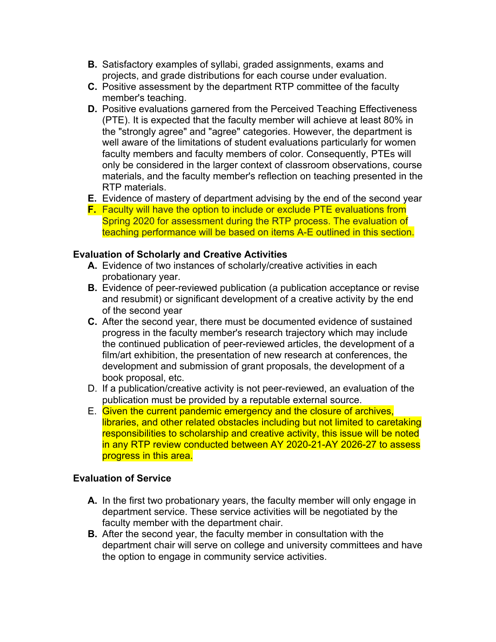- **B.** Satisfactory examples of syllabi, graded assignments, exams and projects, and grade distributions for each course under evaluation.
- **C.** Positive assessment by the department RTP committee of the faculty member's teaching.
- **D.** Positive evaluations garnered from the Perceived Teaching Effectiveness (PTE). It is expected that the faculty member will achieve at least 80% in the "strongly agree" and "agree" categories. However, the department is well aware of the limitations of student evaluations particularly for women faculty members and faculty members of color. Consequently, PTEs will only be considered in the larger context of classroom observations, course materials, and the faculty member's reflection on teaching presented in the RTP materials.
- **E.** Evidence of mastery of department advising by the end of the second year
- **F.** Faculty will have the option to include or exclude PTE evaluations from Spring 2020 for assessment during the RTP process. The evaluation of teaching performance will be based on items A-E outlined in this section.

### **Evaluation of Scholarly and Creative Activities**

- **A.** Evidence of two instances of scholarly/creative activities in each probationary year.
- **B.** Evidence of peer-reviewed publication (a publication acceptance or revise and resubmit) or significant development of a creative activity by the end of the second year
- **C.** After the second year, there must be documented evidence of sustained progress in the faculty member's research trajectory which may include the continued publication of peer-reviewed articles, the development of a film/art exhibition, the presentation of new research at conferences, the development and submission of grant proposals, the development of a book proposal, etc.
- D. If a publication/creative activity is not peer-reviewed, an evaluation of the publication must be provided by a reputable external source.
- E. Given the current pandemic emergency and the closure of archives, libraries, and other related obstacles including but not limited to caretaking responsibilities to scholarship and creative activity, this issue will be noted in any RTP review conducted between AY 2020-21-AY 2026-27 to assess progress in this area.

### **Evaluation of Service**

- **A.** In the first two probationary years, the faculty member will only engage in department service. These service activities will be negotiated by the faculty member with the department chair.
- **B.** After the second year, the faculty member in consultation with the department chair will serve on college and university committees and have the option to engage in community service activities.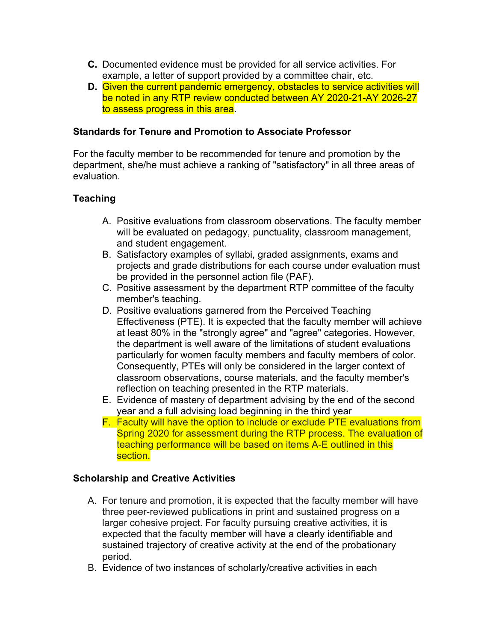- **C.** Documented evidence must be provided for all service activities. For example, a letter of support provided by a committee chair, etc.
- **D.** Given the current pandemic emergency, obstacles to service activities will be noted in any RTP review conducted between AY 2020-21-AY 2026-27 to assess progress in this area.

### **Standards for Tenure and Promotion to Associate Professor**

 For the faculty member to be recommended for tenure and promotion by the department, she/he must achieve a ranking of "satisfactory" in all three areas of evaluation.

# **Teaching**

- A. Positive evaluations from classroom observations. The faculty member will be evaluated on pedagogy, punctuality, classroom management, and student engagement.
- B. Satisfactory examples of syllabi, graded assignments, exams and projects and grade distributions for each course under evaluation must be provided in the personnel action file (PAF).
- C. Positive assessment by the department RTP committee of the faculty member's teaching.
- D. Positive evaluations garnered from the Perceived Teaching Effectiveness (PTE). It is expected that the faculty member will achieve at least 80% in the "strongly agree" and "agree" categories. However, the department is well aware of the limitations of student evaluations particularly for women faculty members and faculty members of color. Consequently, PTEs will only be considered in the larger context of classroom observations, course materials, and the faculty member's reflection on teaching presented in the RTP materials.
- E. Evidence of mastery of department advising by the end of the second year and a full advising load beginning in the third year
- F. Faculty will have the option to include or exclude PTE evaluations from Spring 2020 for assessment during the RTP process. The evaluation of teaching performance will be based on items A-E outlined in this section.

### **Scholarship and Creative Activities**

- A. For tenure and promotion, it is expected that the faculty member will have three peer-reviewed publications in print and sustained progress on a larger cohesive project. For faculty pursuing creative activities, it is expected that the faculty member will have a clearly identifiable and sustained trajectory of creative activity at the end of the probationary period.
- B. Evidence of two instances of scholarly/creative activities in each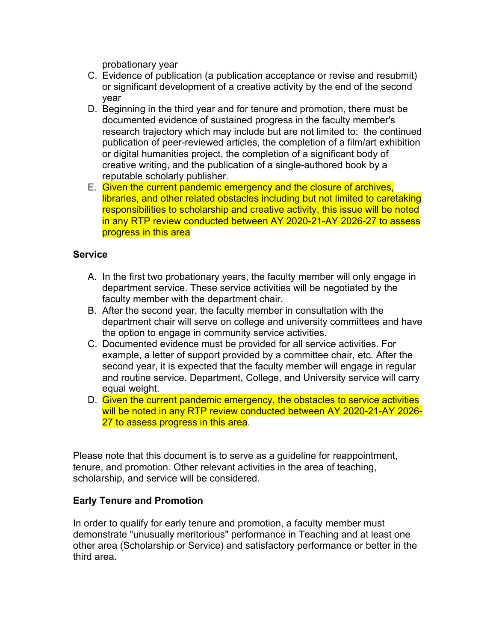probationary year

- C. Evidence of publication (a publication acceptance or revise and resubmit) or significant development of a creative activity by the end of the second year
- D. Beginning in the third year and for tenure and promotion, there must be documented evidence of sustained progress in the faculty member's research trajectory which may include but are not limited to: the continued publication of peer-reviewed articles, the completion of a film/art exhibition or digital humanities project, the completion of a significant body of creative writing, and the publication of a single-authored book by a reputable scholarly publisher.
- reputable scholarly publisher.<br>E. <mark>Given the current pandemic emergency and the closure of archives,</mark> libraries, and other related obstacles including but not limited to caretaking responsibilities to scholarship and creative activity, this issue will be noted in any RTP review conducted between AY 2020-21-AY 2026-27 to assess progress in this area

### **Service**

- A. In the first two probationary years, the faculty member will only engage in department service. These service activities will be negotiated by the faculty member with the department chair.
- B. After the second year, the faculty member in consultation with the department chair will serve on college and university committees and have the option to engage in community service activities.
- C. Documented evidence must be provided for all service activities. For example, a letter of support provided by a committee chair, etc. After the second year, it is expected that the faculty member will engage in regular and routine service. Department, College, and University service will carry equal weight.
- D. Given the current pandemic emergency, the obstacles to service activities will be noted in any RTP review conducted between AY 2020-21-AY 2026- 27 to assess progress in this area.

 Please note that this document is to serve as a guideline for reappointment, tenure, and promotion. Other relevant activities in the area of teaching, scholarship, and service will be considered.

### **Early Tenure and Promotion**

 In order to qualify for early tenure and promotion, a faculty member must demonstrate "unusually meritorious" performance in Teaching and at least one other area (Scholarship or Service) and satisfactory performance or better in the third area.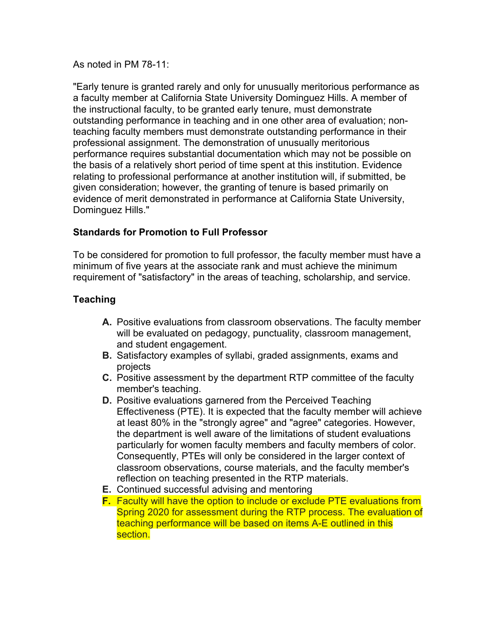As noted in PM 78-11:

 "Early tenure is granted rarely and only for unusually meritorious performance as a faculty member at California State University Dominguez Hills. A member of the instructional faculty, to be granted early tenure, must demonstrate outstanding performance in teaching and in one other area of evaluation; non- teaching faculty members must demonstrate outstanding performance in their professional assignment. The demonstration of unusually meritorious performance requires substantial documentation which may not be possible on the basis of a relatively short period of time spent at this institution. Evidence relating to professional performance at another institution will, if submitted, be given consideration; however, the granting of tenure is based primarily on evidence of merit demonstrated in performance at California State University, Dominguez Hills."

# **Standards for Promotion to Full Professor**

 To be considered for promotion to full professor, the faculty member must have a minimum of five years at the associate rank and must achieve the minimum requirement of "satisfactory" in the areas of teaching, scholarship, and service.

# **Teaching**

- **A.** Positive evaluations from classroom observations. The faculty member will be evaluated on pedagogy, punctuality, classroom management, and student engagement.
- **B.** Satisfactory examples of syllabi, graded assignments, exams and projects
- **C.** Positive assessment by the department RTP committee of the faculty member's teaching.
- **D.** Positive evaluations garnered from the Perceived Teaching Effectiveness (PTE). It is expected that the faculty member will achieve at least 80% in the "strongly agree" and "agree" categories. However, the department is well aware of the limitations of student evaluations particularly for women faculty members and faculty members of color. Consequently, PTEs will only be considered in the larger context of classroom observations, course materials, and the faculty member's reflection on teaching presented in the RTP materials.
- **E.** Continued successful advising and mentoring
- **F.** Faculty will have the option to include or exclude PTE evaluations from Spring 2020 for assessment during the RTP process. The evaluation of teaching performance will be based on items A-E outlined in this section.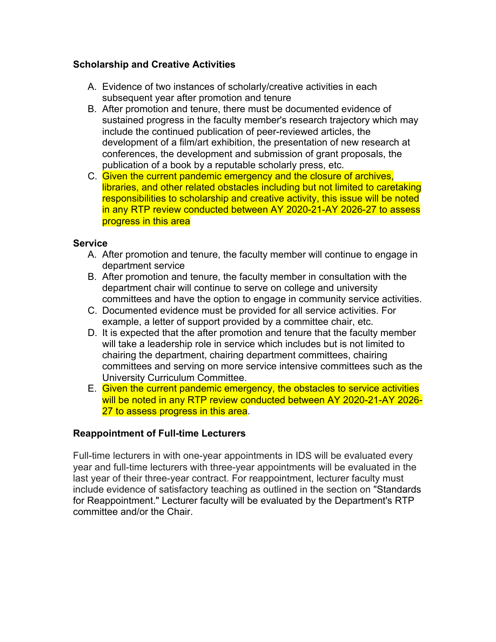### **Scholarship and Creative Activities**

- A. Evidence of two instances of scholarly/creative activities in each subsequent year after promotion and tenure
- B. After promotion and tenure, there must be documented evidence of sustained progress in the faculty member's research trajectory which may include the continued publication of peer-reviewed articles, the development of a film/art exhibition, the presentation of new research at conferences, the development and submission of grant proposals, the publication of a book by a reputable scholarly press, etc.
- C. Given the current pandemic emergency and the closure of archives, libraries, and other related obstacles including but not limited to caretaking responsibilities to scholarship and creative activity, this issue will be noted in any RTP review conducted between AY 2020-21-AY 2026-27 to assess progress in this area

### **Service**

- A. After promotion and tenure, the faculty member will continue to engage in department service
- B. After promotion and tenure, the faculty member in consultation with the department chair will continue to serve on college and university committees and have the option to engage in community service activities.
- C. Documented evidence must be provided for all service activities. For example, a letter of support provided by a committee chair, etc.
- D. It is expected that the after promotion and tenure that the faculty member will take a leadership role in service which includes but is not limited to chairing the department, chairing department committees, chairing committees and serving on more service intensive committees such as the University Curriculum Committee.
- E. Given the current pandemic emergency, the obstacles to service activities will be noted in any RTP review conducted between AY 2020-21-AY 2026- 27 to assess progress in this area.

### **Reappointment of Full-time Lecturers**

 Full-time lecturers in with one-year appointments in IDS will be evaluated every year and full-time lecturers with three-year appointments will be evaluated in the last year of their three-year contract. For reappointment, lecturer faculty must include evidence of satisfactory teaching as outlined in the section on "Standards for Reappointment." Lecturer faculty will be evaluated by the Department's RTP committee and/or the Chair.